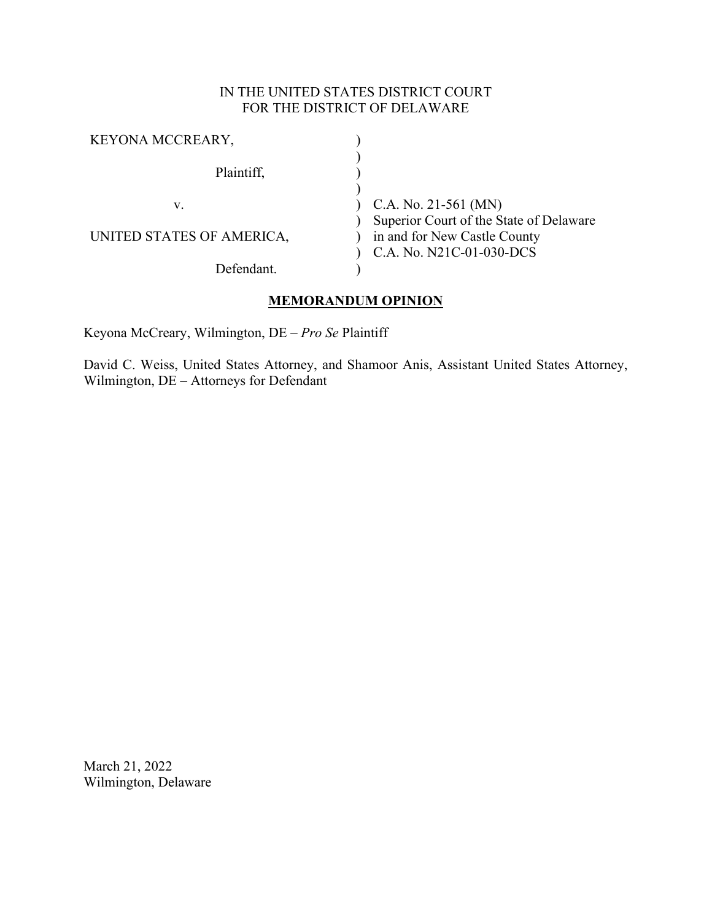### IN THE UNITED STATES DISTRICT COURT FOR THE DISTRICT OF DELAWARE

| KEYONA MCCREARY,          |                                         |
|---------------------------|-----------------------------------------|
| Plaintiff,                |                                         |
|                           |                                         |
| V.                        | C.A. No. 21-561 (MN)                    |
|                           | Superior Court of the State of Delaware |
| UNITED STATES OF AMERICA, | in and for New Castle County            |
|                           | C.A. No. N21C-01-030-DCS                |
| Defendant                 |                                         |

## **MEMORANDUM OPINION**

Keyona McCreary, Wilmington, DE – *Pro Se* Plaintiff

David C. Weiss, United States Attorney, and Shamoor Anis, Assistant United States Attorney, Wilmington, DE – Attorneys for Defendant

March 21, 2022 Wilmington, Delaware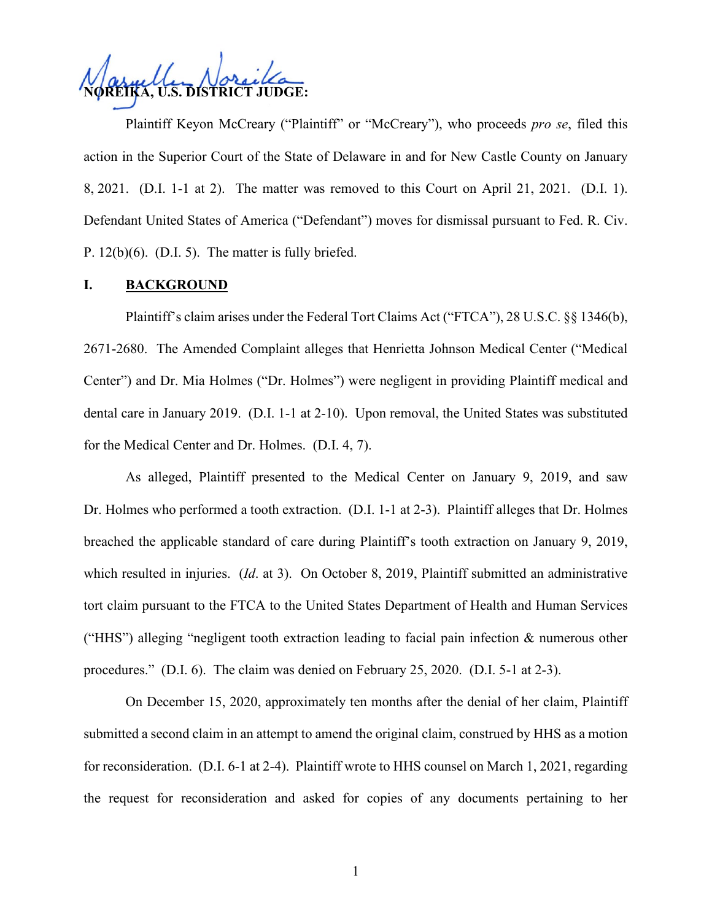**NOREIKA, U.S. DISTRICT JUDGE:**

Plaintiff Keyon McCreary ("Plaintiff" or "McCreary"), who proceeds *pro se*, filed this action in the Superior Court of the State of Delaware in and for New Castle County on January 8, 2021. (D.I. 1-1 at 2). The matter was removed to this Court on April 21, 2021. (D.I. 1). Defendant United States of America ("Defendant") moves for dismissal pursuant to Fed. R. Civ. P. 12(b)(6). (D.I. 5). The matter is fully briefed.

#### **I. BACKGROUND**

Plaintiff's claim arises under the Federal Tort Claims Act ("FTCA"), 28 U.S.C. §§ 1346(b), 2671-2680. The Amended Complaint alleges that Henrietta Johnson Medical Center ("Medical Center") and Dr. Mia Holmes ("Dr. Holmes") were negligent in providing Plaintiff medical and dental care in January 2019. (D.I. 1-1 at 2-10). Upon removal, the United States was substituted for the Medical Center and Dr. Holmes. (D.I. 4, 7).

As alleged, Plaintiff presented to the Medical Center on January 9, 2019, and saw Dr. Holmes who performed a tooth extraction. (D.I. 1-1 at 2-3). Plaintiff alleges that Dr. Holmes breached the applicable standard of care during Plaintiff's tooth extraction on January 9, 2019, which resulted in injuries. (*Id.* at 3). On October 8, 2019, Plaintiff submitted an administrative tort claim pursuant to the FTCA to the United States Department of Health and Human Services ("HHS") alleging "negligent tooth extraction leading to facial pain infection & numerous other procedures." (D.I. 6). The claim was denied on February 25, 2020. (D.I. 5-1 at 2-3).

On December 15, 2020, approximately ten months after the denial of her claim, Plaintiff submitted a second claim in an attempt to amend the original claim, construed by HHS as a motion for reconsideration. (D.I. 6-1 at 2-4). Plaintiff wrote to HHS counsel on March 1, 2021, regarding the request for reconsideration and asked for copies of any documents pertaining to her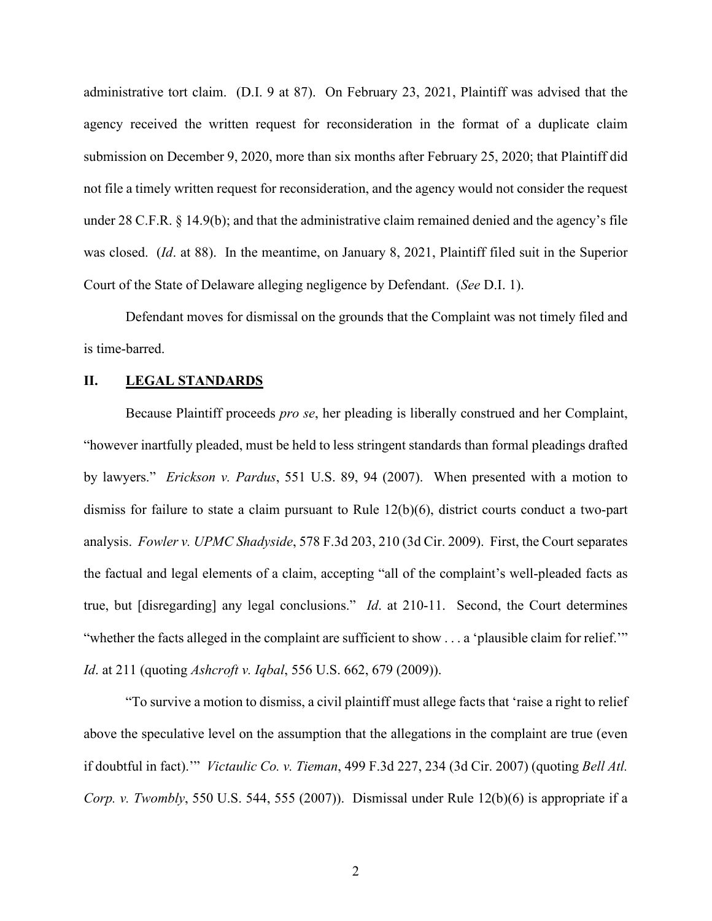administrative tort claim. (D.I. 9 at 87). On February 23, 2021, Plaintiff was advised that the agency received the written request for reconsideration in the format of a duplicate claim submission on December 9, 2020, more than six months after February 25, 2020; that Plaintiff did not file a timely written request for reconsideration, and the agency would not consider the request under 28 C.F.R. § 14.9(b); and that the administrative claim remained denied and the agency's file was closed. (*Id*. at 88). In the meantime, on January 8, 2021, Plaintiff filed suit in the Superior Court of the State of Delaware alleging negligence by Defendant. (*See* D.I. 1).

Defendant moves for dismissal on the grounds that the Complaint was not timely filed and is time-barred.

#### **II. LEGAL STANDARDS**

Because Plaintiff proceeds *pro se*, her pleading is liberally construed and her Complaint, "however inartfully pleaded, must be held to less stringent standards than formal pleadings drafted by lawyers." *Erickson v. Pardus*, 551 U.S. 89, 94 (2007). When presented with a motion to dismiss for failure to state a claim pursuant to Rule 12(b)(6), district courts conduct a two-part analysis. *Fowler v. UPMC Shadyside*, 578 F.3d 203, 210 (3d Cir. 2009). First, the Court separates the factual and legal elements of a claim, accepting "all of the complaint's well-pleaded facts as true, but [disregarding] any legal conclusions." *Id*. at 210-11. Second, the Court determines "whether the facts alleged in the complaint are sufficient to show . . . a 'plausible claim for relief.'" *Id*. at 211 (quoting *Ashcroft v. Iqbal*, 556 U.S. 662, 679 (2009)).

"To survive a motion to dismiss, a civil plaintiff must allege facts that 'raise a right to relief above the speculative level on the assumption that the allegations in the complaint are true (even if doubtful in fact).'" *Victaulic Co. v. Tieman*, 499 F.3d 227, 234 (3d Cir. 2007) (quoting *Bell Atl. Corp. v. Twombly*, 550 U.S. 544, 555 (2007)). Dismissal under Rule 12(b)(6) is appropriate if a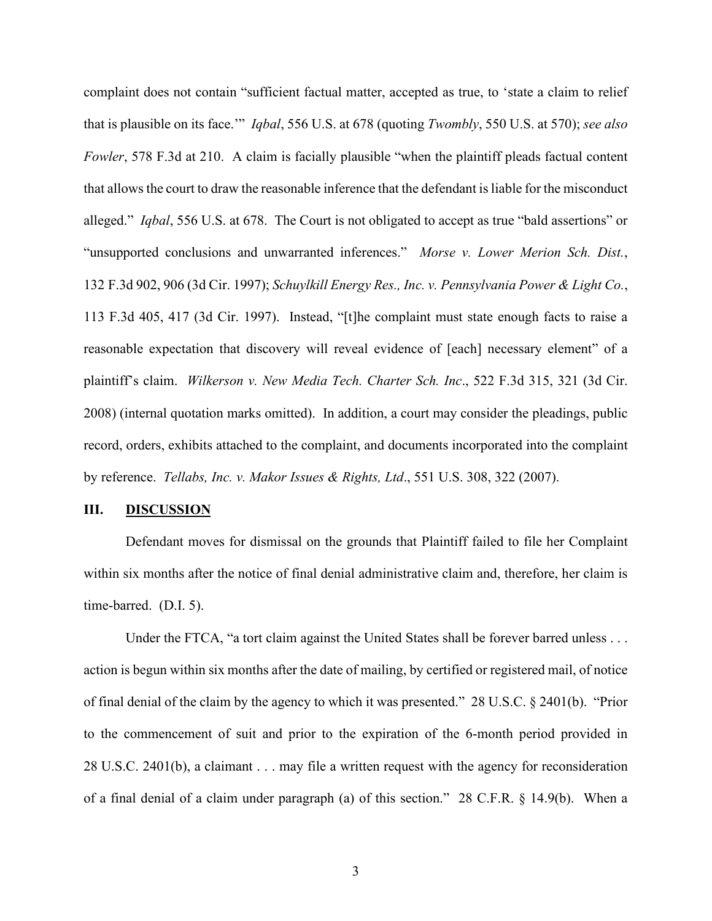complaint does not contain "sufficient factual matter, accepted as true, to 'state a claim to relief that is plausible on its face.'" *Iqbal*, 556 U.S. at 678 (quoting *Twombly*, 550 U.S. at 570); *see also Fowler*, 578 F.3d at 210. A claim is facially plausible "when the plaintiff pleads factual content that allows the court to draw the reasonable inference that the defendant is liable for the misconduct alleged." *Iqbal*, 556 U.S. at 678. The Court is not obligated to accept as true "bald assertions" or "unsupported conclusions and unwarranted inferences." *Morse v. Lower Merion Sch. Dist.*, 132 F.3d 902, 906 (3d Cir. 1997); *Schuylkill Energy Res., Inc. v. Pennsylvania Power & Light Co.*, 113 F.3d 405, 417 (3d Cir. 1997). Instead, "[t]he complaint must state enough facts to raise a reasonable expectation that discovery will reveal evidence of [each] necessary element" of a plaintiff's claim. *Wilkerson v. New Media Tech. Charter Sch. Inc*., 522 F.3d 315, 321 (3d Cir. 2008) (internal quotation marks omitted). In addition, a court may consider the pleadings, public record, orders, exhibits attached to the complaint, and documents incorporated into the complaint by reference. *Tellabs, Inc. v. Makor Issues & Rights, Ltd*., 551 U.S. 308, 322 (2007).

#### **III. DISCUSSION**

Defendant moves for dismissal on the grounds that Plaintiff failed to file her Complaint within six months after the notice of final denial administrative claim and, therefore, her claim is time-barred. (D.I. 5).

Under the FTCA, "a tort claim against the United States shall be forever barred unless . . . action is begun within six months after the date of mailing, by certified or registered mail, of notice of final denial of the claim by the agency to which it was presented." 28 U.S.C. § 2401(b). "Prior to the commencement of suit and prior to the expiration of the 6-month period provided in 28 U.S.C. 2401(b), a claimant . . . may file a written request with the agency for reconsideration of a final denial of a claim under paragraph (a) of this section." 28 C.F.R. § 14.9(b). When a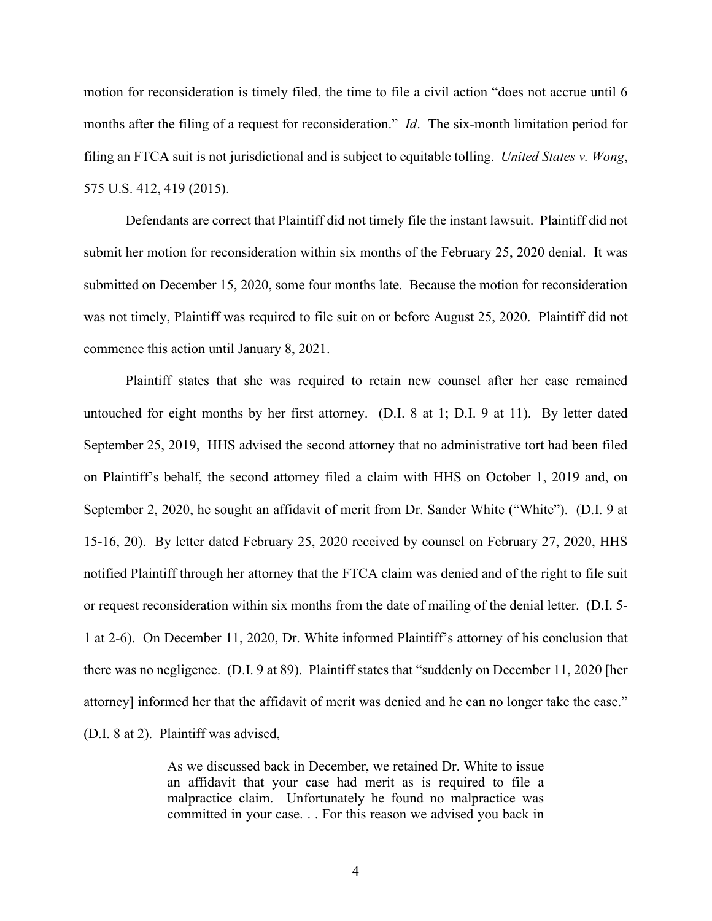motion for reconsideration is timely filed, the time to file a civil action "does not accrue until 6 months after the filing of a request for reconsideration." *Id*. The six-month limitation period for filing an FTCA suit is not jurisdictional and is subject to equitable tolling. *United States v. Wong*, 575 U.S. 412, 419 (2015).

Defendants are correct that Plaintiff did not timely file the instant lawsuit. Plaintiff did not submit her motion for reconsideration within six months of the February 25, 2020 denial. It was submitted on December 15, 2020, some four months late. Because the motion for reconsideration was not timely, Plaintiff was required to file suit on or before August 25, 2020. Plaintiff did not commence this action until January 8, 2021.

Plaintiff states that she was required to retain new counsel after her case remained untouched for eight months by her first attorney. (D.I. 8 at 1; D.I. 9 at 11). By letter dated September 25, 2019, HHS advised the second attorney that no administrative tort had been filed on Plaintiff's behalf, the second attorney filed a claim with HHS on October 1, 2019 and, on September 2, 2020, he sought an affidavit of merit from Dr. Sander White ("White"). (D.I. 9 at 15-16, 20). By letter dated February 25, 2020 received by counsel on February 27, 2020, HHS notified Plaintiff through her attorney that the FTCA claim was denied and of the right to file suit or request reconsideration within six months from the date of mailing of the denial letter. (D.I. 5- 1 at 2-6). On December 11, 2020, Dr. White informed Plaintiff's attorney of his conclusion that there was no negligence. (D.I. 9 at 89). Plaintiff states that "suddenly on December 11, 2020 [her attorney] informed her that the affidavit of merit was denied and he can no longer take the case." (D.I. 8 at 2). Plaintiff was advised,

> As we discussed back in December, we retained Dr. White to issue an affidavit that your case had merit as is required to file a malpractice claim. Unfortunately he found no malpractice was committed in your case. . . For this reason we advised you back in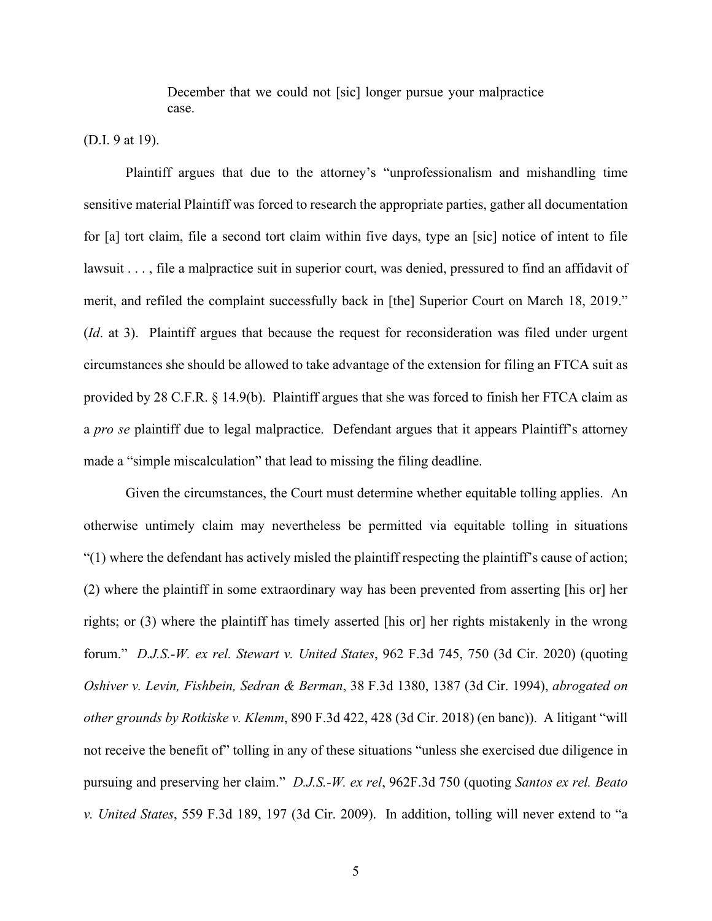December that we could not [sic] longer pursue your malpractice case.

(D.I. 9 at 19).

Plaintiff argues that due to the attorney's "unprofessionalism and mishandling time sensitive material Plaintiff was forced to research the appropriate parties, gather all documentation for [a] tort claim, file a second tort claim within five days, type an [sic] notice of intent to file lawsuit . . . , file a malpractice suit in superior court, was denied, pressured to find an affidavit of merit, and refiled the complaint successfully back in [the] Superior Court on March 18, 2019." (*Id*. at 3). Plaintiff argues that because the request for reconsideration was filed under urgent circumstances she should be allowed to take advantage of the extension for filing an FTCA suit as provided by 28 C.F.R. § 14.9(b). Plaintiff argues that she was forced to finish her FTCA claim as a *pro se* plaintiff due to legal malpractice. Defendant argues that it appears Plaintiff's attorney made a "simple miscalculation" that lead to missing the filing deadline.

Given the circumstances, the Court must determine whether equitable tolling applies. An otherwise untimely claim may nevertheless be permitted via equitable tolling in situations "(1) where the defendant has actively misled the plaintiff respecting the plaintiff's cause of action; (2) where the plaintiff in some extraordinary way has been prevented from asserting [his or] her rights; or (3) where the plaintiff has timely asserted [his or] her rights mistakenly in the wrong forum." *D.J.S.-W. ex rel. Stewart v. United States*, 962 F.3d 745, 750 (3d Cir. 2020) (quoting *Oshiver v. Levin, Fishbein, Sedran & Berman*, 38 F.3d 1380, 1387 (3d Cir. 1994), *abrogated on other grounds by Rotkiske v. Klemm*, 890 F.3d 422, 428 (3d Cir. 2018) (en banc)). A litigant "will not receive the benefit of" tolling in any of these situations "unless she exercised due diligence in pursuing and preserving her claim." *D.J.S.-W. ex rel*, 962F.3d 750 (quoting *Santos ex rel. Beato v. United States*, 559 F.3d 189, 197 (3d Cir. 2009). In addition, tolling will never extend to "a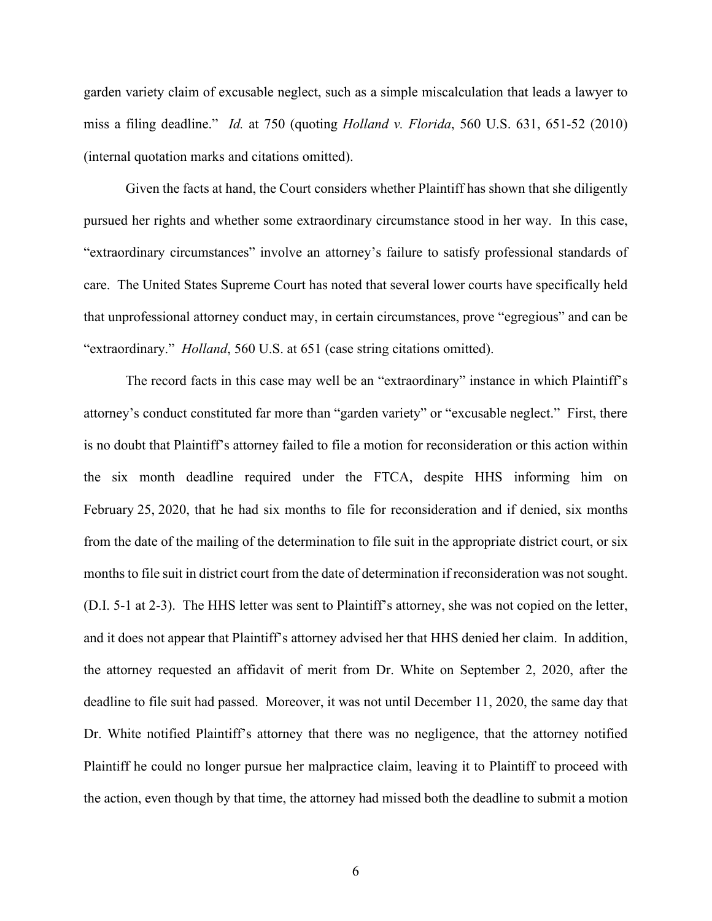garden variety claim of excusable neglect, such as a simple miscalculation that leads a lawyer to miss a filing deadline." *Id.* at 750 (quoting *Holland v. Florida*, 560 U.S. 631, 651-52 (2010) (internal quotation marks and citations omitted).

Given the facts at hand, the Court considers whether Plaintiff has shown that she diligently pursued her rights and whether some extraordinary circumstance stood in her way. In this case, "extraordinary circumstances" involve an attorney's failure to satisfy professional standards of care. The United States Supreme Court has noted that several lower courts have specifically held that unprofessional attorney conduct may, in certain circumstances, prove "egregious" and can be "extraordinary." *Holland*, 560 U.S. at 651 (case string citations omitted).

The record facts in this case may well be an "extraordinary" instance in which Plaintiff's attorney's conduct constituted far more than "garden variety" or "excusable neglect." First, there is no doubt that Plaintiff's attorney failed to file a motion for reconsideration or this action within the six month deadline required under the FTCA, despite HHS informing him on February 25, 2020, that he had six months to file for reconsideration and if denied, six months from the date of the mailing of the determination to file suit in the appropriate district court, or six months to file suit in district court from the date of determination if reconsideration was not sought. (D.I. 5-1 at 2-3). The HHS letter was sent to Plaintiff's attorney, she was not copied on the letter, and it does not appear that Plaintiff's attorney advised her that HHS denied her claim. In addition, the attorney requested an affidavit of merit from Dr. White on September 2, 2020, after the deadline to file suit had passed. Moreover, it was not until December 11, 2020, the same day that Dr. White notified Plaintiff's attorney that there was no negligence, that the attorney notified Plaintiff he could no longer pursue her malpractice claim, leaving it to Plaintiff to proceed with the action, even though by that time, the attorney had missed both the deadline to submit a motion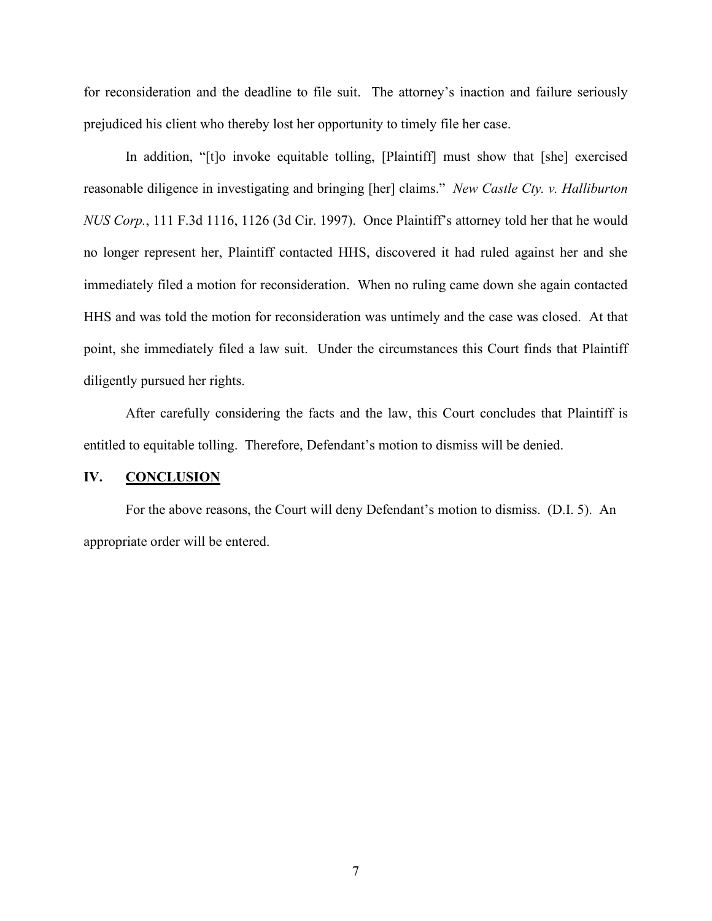for reconsideration and the deadline to file suit. The attorney's inaction and failure seriously prejudiced his client who thereby lost her opportunity to timely file her case.

In addition, "[t]o invoke equitable tolling, [Plaintiff] must show that [she] exercised reasonable diligence in investigating and bringing [her] claims." *New Castle Cty. v. Halliburton NUS Corp.*, 111 F.3d 1116, 1126 (3d Cir. 1997). Once Plaintiff's attorney told her that he would no longer represent her, Plaintiff contacted HHS, discovered it had ruled against her and she immediately filed a motion for reconsideration. When no ruling came down she again contacted HHS and was told the motion for reconsideration was untimely and the case was closed. At that point, she immediately filed a law suit. Under the circumstances this Court finds that Plaintiff diligently pursued her rights.

After carefully considering the facts and the law, this Court concludes that Plaintiff is entitled to equitable tolling. Therefore, Defendant's motion to dismiss will be denied.

#### **IV. CONCLUSION**

For the above reasons, the Court will deny Defendant's motion to dismiss. (D.I. 5). An appropriate order will be entered.